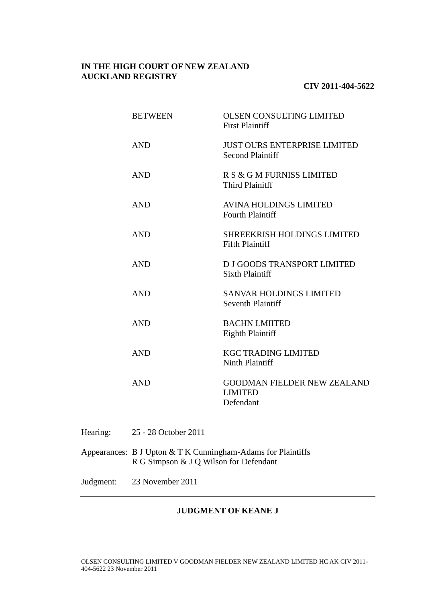# **IN THE HIGH COURT OF NEW ZEALAND AUCKLAND REGISTRY**

# **CIV 2011-404-5622**

| <b>BETWEEN</b> | <b>OLSEN CONSULTING LIMITED</b><br><b>First Plaintiff</b>         |
|----------------|-------------------------------------------------------------------|
| <b>AND</b>     | <b>JUST OURS ENTERPRISE LIMITED</b><br><b>Second Plaintiff</b>    |
| <b>AND</b>     | R S & G M FURNISS LIMITED<br><b>Third Plainitff</b>               |
| <b>AND</b>     | <b>AVINA HOLDINGS LIMITED</b><br><b>Fourth Plaintiff</b>          |
| <b>AND</b>     | <b>SHREEKRISH HOLDINGS LIMITED</b><br><b>Fifth Plaintiff</b>      |
| <b>AND</b>     | D J GOODS TRANSPORT LIMITED<br><b>Sixth Plaintiff</b>             |
| <b>AND</b>     | <b>SANVAR HOLDINGS LIMITED</b><br><b>Seventh Plaintiff</b>        |
| <b>AND</b>     | <b>BACHN LMIITED</b><br><b>Eighth Plaintiff</b>                   |
| <b>AND</b>     | <b>KGC TRADING LIMITED</b><br>Ninth Plaintiff                     |
| <b>AND</b>     | <b>GOODMAN FIELDER NEW ZEALAND</b><br><b>LIMITED</b><br>Defendant |

- Hearing: 25 28 October 2011
- Appearances: B J Upton & T K Cunningham-Adams for Plaintiffs R G Simpson & J Q Wilson for Defendant
- Judgment: 23 November 2011

# **JUDGMENT OF KEANE J**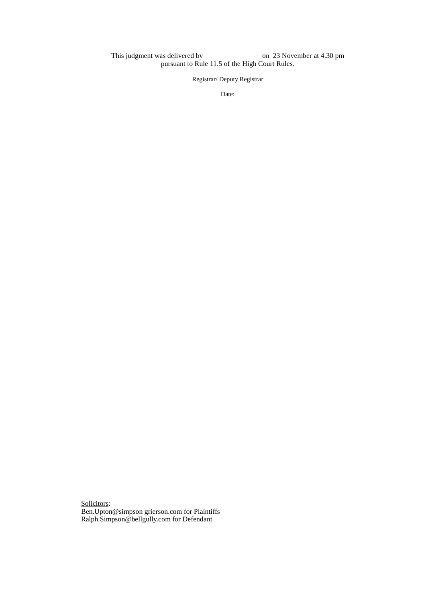This judgment was delivered by on 23 November at 4.30 pm pursuant to Rule 11.5 of the High Court Rules.

Registrar/ Deputy Registrar

Date:

Solicitors: Ben.Upton@simpson grierson.com for Plaintiffs Ralph.Simpson@bellgully.com for Defendant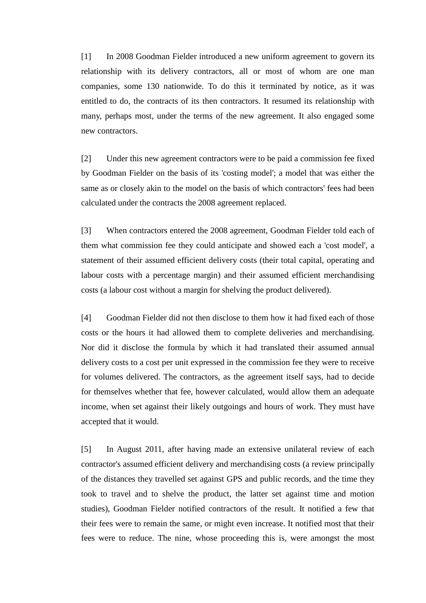[1] In 2008 Goodman Fielder introduced a new uniform agreement to govern its relationship with its delivery contractors, all or most of whom are one man companies, some 130 nationwide. To do this it terminated by notice, as it was entitled to do, the contracts of its then contractors. It resumed its relationship with many, perhaps most, under the terms of the new agreement. It also engaged some new contractors.

[2] Under this new agreement contractors were to be paid a commission fee fixed by Goodman Fielder on the basis of its 'costing model'; a model that was either the same as or closely akin to the model on the basis of which contractors' fees had been calculated under the contracts the 2008 agreement replaced.

[3] When contractors entered the 2008 agreement, Goodman Fielder told each of them what commission fee they could anticipate and showed each a 'cost model', a statement of their assumed efficient delivery costs (their total capital, operating and labour costs with a percentage margin) and their assumed efficient merchandising costs (a labour cost without a margin for shelving the product delivered).

[4] Goodman Fielder did not then disclose to them how it had fixed each of those costs or the hours it had allowed them to complete deliveries and merchandising. Nor did it disclose the formula by which it had translated their assumed annual delivery costs to a cost per unit expressed in the commission fee they were to receive for volumes delivered. The contractors, as the agreement itself says, had to decide for themselves whether that fee, however calculated, would allow them an adequate income, when set against their likely outgoings and hours of work. They must have accepted that it would.

[5] In August 2011, after having made an extensive unilateral review of each contractor's assumed efficient delivery and merchandising costs (a review principally of the distances they travelled set against GPS and public records, and the time they took to travel and to shelve the product, the latter set against time and motion studies), Goodman Fielder notified contractors of the result. It notified a few that their fees were to remain the same, or might even increase. It notified most that their fees were to reduce. The nine, whose proceeding this is, were amongst the most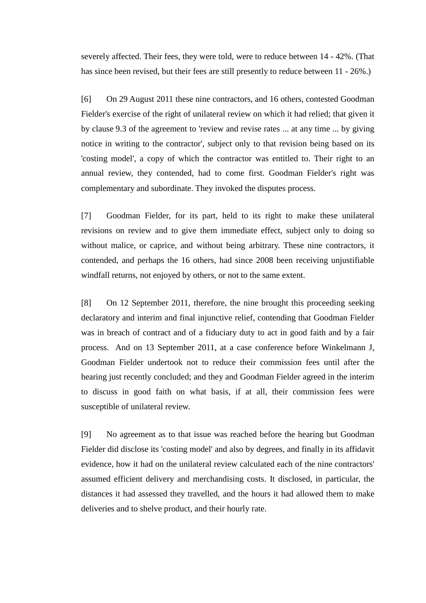severely affected. Their fees, they were told, were to reduce between 14 - 42%. (That has since been revised, but their fees are still presently to reduce between 11 - 26%.)

[6] On 29 August 2011 these nine contractors, and 16 others, contested Goodman Fielder's exercise of the right of unilateral review on which it had relied; that given it by clause 9.3 of the agreement to 'review and revise rates ... at any time ... by giving notice in writing to the contractor', subject only to that revision being based on its 'costing model', a copy of which the contractor was entitled to. Their right to an annual review, they contended, had to come first. Goodman Fielder's right was complementary and subordinate. They invoked the disputes process.

[7] Goodman Fielder, for its part, held to its right to make these unilateral revisions on review and to give them immediate effect, subject only to doing so without malice, or caprice, and without being arbitrary. These nine contractors, it contended, and perhaps the 16 others, had since 2008 been receiving unjustifiable windfall returns, not enjoyed by others, or not to the same extent.

[8] On 12 September 2011, therefore, the nine brought this proceeding seeking declaratory and interim and final injunctive relief, contending that Goodman Fielder was in breach of contract and of a fiduciary duty to act in good faith and by a fair process. And on 13 September 2011, at a case conference before Winkelmann J, Goodman Fielder undertook not to reduce their commission fees until after the hearing just recently concluded; and they and Goodman Fielder agreed in the interim to discuss in good faith on what basis, if at all, their commission fees were susceptible of unilateral review.

[9] No agreement as to that issue was reached before the hearing but Goodman Fielder did disclose its 'costing model' and also by degrees, and finally in its affidavit evidence, how it had on the unilateral review calculated each of the nine contractors' assumed efficient delivery and merchandising costs. It disclosed, in particular, the distances it had assessed they travelled, and the hours it had allowed them to make deliveries and to shelve product, and their hourly rate.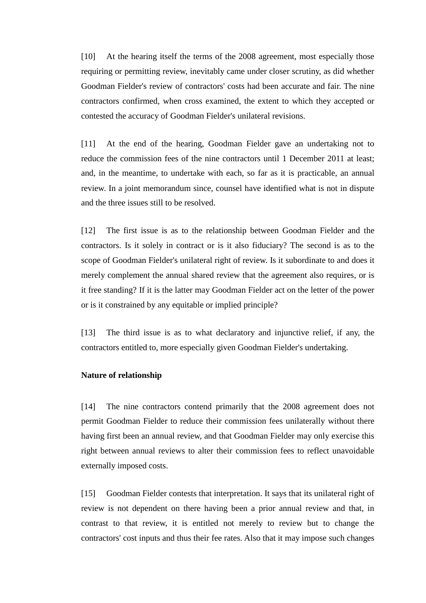[10] At the hearing itself the terms of the 2008 agreement, most especially those requiring or permitting review, inevitably came under closer scrutiny, as did whether Goodman Fielder's review of contractors' costs had been accurate and fair. The nine contractors confirmed, when cross examined, the extent to which they accepted or contested the accuracy of Goodman Fielder's unilateral revisions.

[11] At the end of the hearing, Goodman Fielder gave an undertaking not to reduce the commission fees of the nine contractors until 1 December 2011 at least; and, in the meantime, to undertake with each, so far as it is practicable, an annual review. In a joint memorandum since, counsel have identified what is not in dispute and the three issues still to be resolved.

[12] The first issue is as to the relationship between Goodman Fielder and the contractors. Is it solely in contract or is it also fiduciary? The second is as to the scope of Goodman Fielder's unilateral right of review. Is it subordinate to and does it merely complement the annual shared review that the agreement also requires, or is it free standing? If it is the latter may Goodman Fielder act on the letter of the power or is it constrained by any equitable or implied principle?

[13] The third issue is as to what declaratory and injunctive relief, if any, the contractors entitled to, more especially given Goodman Fielder's undertaking.

# **Nature of relationship**

[14] The nine contractors contend primarily that the 2008 agreement does not permit Goodman Fielder to reduce their commission fees unilaterally without there having first been an annual review, and that Goodman Fielder may only exercise this right between annual reviews to alter their commission fees to reflect unavoidable externally imposed costs.

[15] Goodman Fielder contests that interpretation. It says that its unilateral right of review is not dependent on there having been a prior annual review and that, in contrast to that review, it is entitled not merely to review but to change the contractors' cost inputs and thus their fee rates. Also that it may impose such changes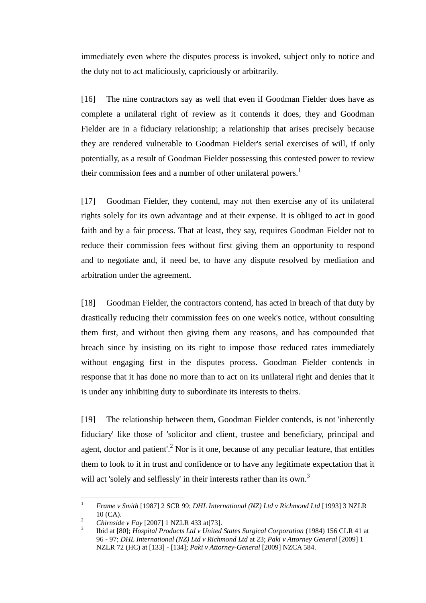immediately even where the disputes process is invoked, subject only to notice and the duty not to act maliciously, capriciously or arbitrarily.

[16] The nine contractors say as well that even if Goodman Fielder does have as complete a unilateral right of review as it contends it does, they and Goodman Fielder are in a fiduciary relationship; a relationship that arises precisely because they are rendered vulnerable to Goodman Fielder's serial exercises of will, if only potentially, as a result of Goodman Fielder possessing this contested power to review their commission fees and a number of other unilateral powers.<sup>1</sup>

[17] Goodman Fielder, they contend, may not then exercise any of its unilateral rights solely for its own advantage and at their expense. It is obliged to act in good faith and by a fair process. That at least, they say, requires Goodman Fielder not to reduce their commission fees without first giving them an opportunity to respond and to negotiate and, if need be, to have any dispute resolved by mediation and arbitration under the agreement.

[18] Goodman Fielder, the contractors contend, has acted in breach of that duty by drastically reducing their commission fees on one week's notice, without consulting them first, and without then giving them any reasons, and has compounded that breach since by insisting on its right to impose those reduced rates immediately without engaging first in the disputes process. Goodman Fielder contends in response that it has done no more than to act on its unilateral right and denies that it is under any inhibiting duty to subordinate its interests to theirs.

[19] The relationship between them, Goodman Fielder contends, is not 'inherently fiduciary' like those of 'solicitor and client, trustee and beneficiary, principal and agent, doctor and patient'.<sup>2</sup> Nor is it one, because of any peculiar feature, that entitles them to look to it in trust and confidence or to have any legitimate expectation that it will act 'solely and selflessly' in their interests rather than its own.<sup>3</sup>

 $\mathbf{1}$ <sup>1</sup> *Frame v Smith* [1987] 2 SCR 99; *DHL International (NZ) Ltd v Richmond Ltd* [1993] 3 NZLR 10 (CA).

<sup>2</sup> *Chirnside v Fay* [2007] 1 NZLR 433 at[73].

<sup>3</sup> Ibid at [80]; *Hospital Products Ltd v United States Surgical Corporation* (1984) 156 CLR 41 at 96 - 97; *DHL International (NZ) Ltd v Richmond Ltd* at 23; *Paki v Attorney General* [2009] 1 NZLR 72 (HC) at [133] - [134]; *Paki v Attorney-General* [2009] NZCA 584.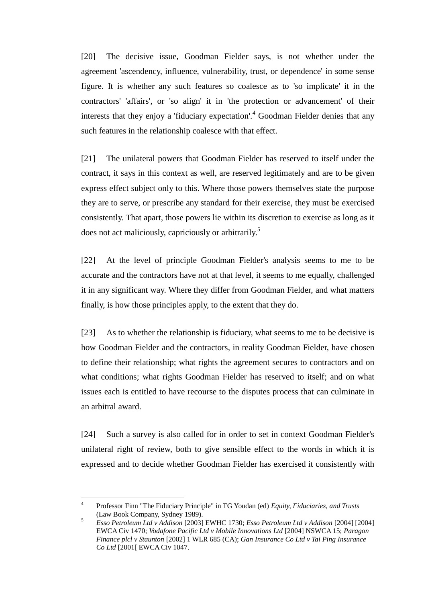[20] The decisive issue, Goodman Fielder says, is not whether under the agreement 'ascendency, influence, vulnerability, trust, or dependence' in some sense figure. It is whether any such features so coalesce as to 'so implicate' it in the contractors' 'affairs', or 'so align' it in 'the protection or advancement' of their interests that they enjoy a 'fiduciary expectation'.<sup>4</sup> Goodman Fielder denies that any such features in the relationship coalesce with that effect.

[21] The unilateral powers that Goodman Fielder has reserved to itself under the contract, it says in this context as well, are reserved legitimately and are to be given express effect subject only to this. Where those powers themselves state the purpose they are to serve, or prescribe any standard for their exercise, they must be exercised consistently. That apart, those powers lie within its discretion to exercise as long as it does not act maliciously, capriciously or arbitrarily.<sup>5</sup>

[22] At the level of principle Goodman Fielder's analysis seems to me to be accurate and the contractors have not at that level, it seems to me equally, challenged it in any significant way. Where they differ from Goodman Fielder, and what matters finally, is how those principles apply, to the extent that they do.

[23] As to whether the relationship is fiduciary, what seems to me to be decisive is how Goodman Fielder and the contractors, in reality Goodman Fielder, have chosen to define their relationship; what rights the agreement secures to contractors and on what conditions; what rights Goodman Fielder has reserved to itself; and on what issues each is entitled to have recourse to the disputes process that can culminate in an arbitral award.

[24] Such a survey is also called for in order to set in context Goodman Fielder's unilateral right of review, both to give sensible effect to the words in which it is expressed and to decide whether Goodman Fielder has exercised it consistently with

 $\overline{a}$ 

<sup>4</sup> Professor Finn "The Fiduciary Principle" in TG Youdan (ed) *Equity, Fiduciaries, and Trusts*  (Law Book Company, Sydney 1989).

<sup>5</sup> *Esso Petroleum Ltd v Addison* [2003] EWHC 1730; *Esso Petroleum Ltd v Addison* [2004] [2004] EWCA Civ 1470; *Vodafone Pacific Ltd v Mobile Innovations Ltd* [2004] NSWCA 15; *Paragon Finance plcl v Staunton* [2002] 1 WLR 685 (CA); *Gan Insurance Co Ltd v Tai Ping Insurance Co Ltd* [2001[ EWCA Civ 1047.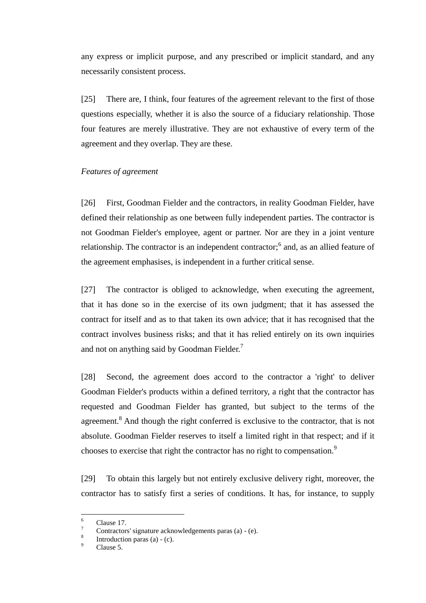any express or implicit purpose, and any prescribed or implicit standard, and any necessarily consistent process.

[25] There are, I think, four features of the agreement relevant to the first of those questions especially, whether it is also the source of a fiduciary relationship. Those four features are merely illustrative. They are not exhaustive of every term of the agreement and they overlap. They are these.

# *Features of agreement*

[26] First, Goodman Fielder and the contractors, in reality Goodman Fielder, have defined their relationship as one between fully independent parties. The contractor is not Goodman Fielder's employee, agent or partner. Nor are they in a joint venture relationship. The contractor is an independent contractor;<sup>6</sup> and, as an allied feature of the agreement emphasises, is independent in a further critical sense.

[27] The contractor is obliged to acknowledge, when executing the agreement, that it has done so in the exercise of its own judgment; that it has assessed the contract for itself and as to that taken its own advice; that it has recognised that the contract involves business risks; and that it has relied entirely on its own inquiries and not on anything said by Goodman Fielder.<sup>7</sup>

[28] Second, the agreement does accord to the contractor a 'right' to deliver Goodman Fielder's products within a defined territory, a right that the contractor has requested and Goodman Fielder has granted, but subject to the terms of the agreement.<sup>8</sup> And though the right conferred is exclusive to the contractor, that is not absolute. Goodman Fielder reserves to itself a limited right in that respect; and if it chooses to exercise that right the contractor has no right to compensation.<sup>9</sup>

[29] To obtain this largely but not entirely exclusive delivery right, moreover, the contractor has to satisfy first a series of conditions. It has, for instance, to supply

<sup>6</sup>  $\frac{6}{7}$  Clause 17.

<sup>7</sup> Contractors' signature acknowledgements paras (a) - (e). 8

Introduction paras (a) - (c).

Clause 5.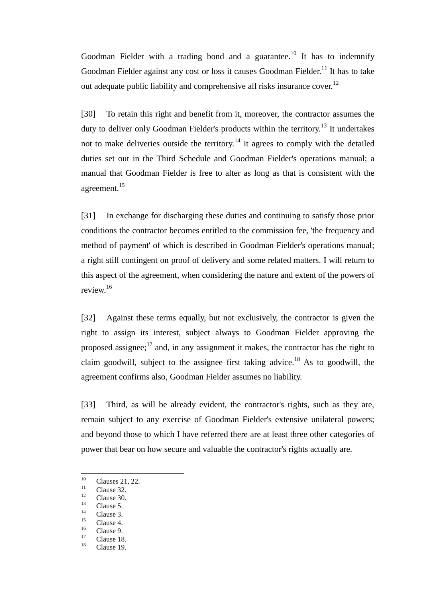Goodman Fielder with a trading bond and a guarantee.<sup>10</sup> It has to indemnify Goodman Fielder against any cost or loss it causes Goodman Fielder.<sup>11</sup> It has to take out adequate public liability and comprehensive all risks insurance cover.<sup>12</sup>

[30] To retain this right and benefit from it, moreover, the contractor assumes the duty to deliver only Goodman Fielder's products within the territory.<sup>13</sup> It undertakes not to make deliveries outside the territory.<sup>14</sup> It agrees to comply with the detailed duties set out in the Third Schedule and Goodman Fielder's operations manual; a manual that Goodman Fielder is free to alter as long as that is consistent with the agreement.<sup>15</sup>

[31] In exchange for discharging these duties and continuing to satisfy those prior conditions the contractor becomes entitled to the commission fee, 'the frequency and method of payment' of which is described in Goodman Fielder's operations manual; a right still contingent on proof of delivery and some related matters. I will return to this aspect of the agreement, when considering the nature and extent of the powers of review.<sup>16</sup>

[32] Against these terms equally, but not exclusively, the contractor is given the right to assign its interest, subject always to Goodman Fielder approving the proposed assignee; $^{17}$  and, in any assignment it makes, the contractor has the right to claim goodwill, subject to the assignee first taking advice.<sup>18</sup> As to goodwill, the agreement confirms also, Goodman Fielder assumes no liability.

[33] Third, as will be already evident, the contractor's rights, such as they are, remain subject to any exercise of Goodman Fielder's extensive unilateral powers; and beyond those to which I have referred there are at least three other categories of power that bear on how secure and valuable the contractor's rights actually are.

<sup>10</sup>  $\frac{10}{11}$  Clauses 21, 22.

 $\frac{11}{12}$  Clause 32.

 $\frac{12}{13}$  Clause 30.

 $\frac{13}{14}$  Clause 5.

 $\frac{14}{15}$  Clause 3.

 $\frac{15}{16}$  Clause 4.

 $\frac{16}{17}$  Clause 9.

 $\frac{17}{18}$  Clause 18.

Clause 19.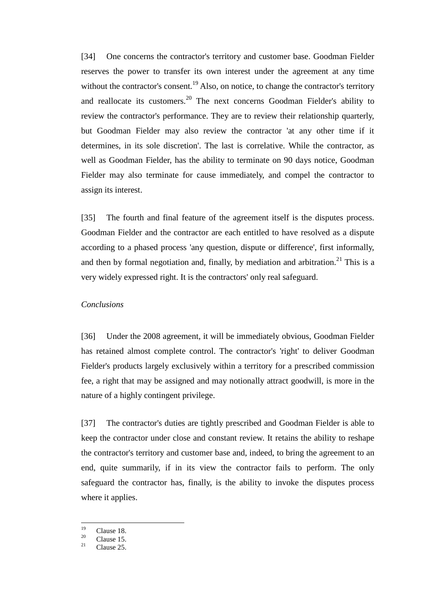[34] One concerns the contractor's territory and customer base. Goodman Fielder reserves the power to transfer its own interest under the agreement at any time without the contractor's consent.<sup>19</sup> Also, on notice, to change the contractor's territory and reallocate its customers.<sup>20</sup> The next concerns Goodman Fielder's ability to review the contractor's performance. They are to review their relationship quarterly, but Goodman Fielder may also review the contractor 'at any other time if it determines, in its sole discretion'. The last is correlative. While the contractor, as well as Goodman Fielder, has the ability to terminate on 90 days notice, Goodman Fielder may also terminate for cause immediately, and compel the contractor to assign its interest.

[35] The fourth and final feature of the agreement itself is the disputes process. Goodman Fielder and the contractor are each entitled to have resolved as a dispute according to a phased process 'any question, dispute or difference', first informally, and then by formal negotiation and, finally, by mediation and arbitration.<sup>21</sup> This is a very widely expressed right. It is the contractors' only real safeguard.

## *Conclusions*

[36] Under the 2008 agreement, it will be immediately obvious, Goodman Fielder has retained almost complete control. The contractor's 'right' to deliver Goodman Fielder's products largely exclusively within a territory for a prescribed commission fee, a right that may be assigned and may notionally attract goodwill, is more in the nature of a highly contingent privilege.

[37] The contractor's duties are tightly prescribed and Goodman Fielder is able to keep the contractor under close and constant review. It retains the ability to reshape the contractor's territory and customer base and, indeed, to bring the agreement to an end, quite summarily, if in its view the contractor fails to perform. The only safeguard the contractor has, finally, is the ability to invoke the disputes process where it applies.

<sup>19</sup>  $\frac{19}{20}$  Clause 18.

 $\frac{20}{21}$  Clause 15.

Clause 25.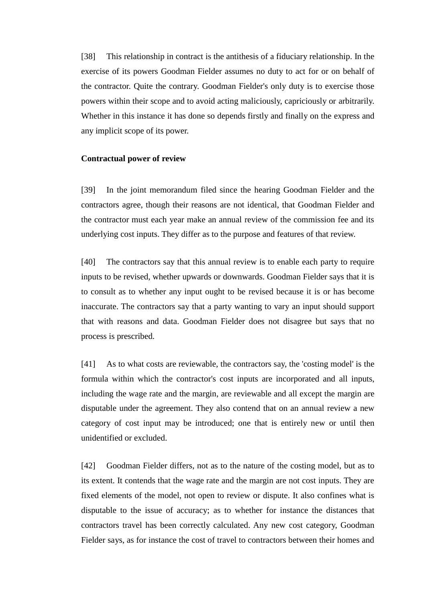[38] This relationship in contract is the antithesis of a fiduciary relationship. In the exercise of its powers Goodman Fielder assumes no duty to act for or on behalf of the contractor. Quite the contrary. Goodman Fielder's only duty is to exercise those powers within their scope and to avoid acting maliciously, capriciously or arbitrarily. Whether in this instance it has done so depends firstly and finally on the express and any implicit scope of its power.

#### **Contractual power of review**

[39] In the joint memorandum filed since the hearing Goodman Fielder and the contractors agree, though their reasons are not identical, that Goodman Fielder and the contractor must each year make an annual review of the commission fee and its underlying cost inputs. They differ as to the purpose and features of that review.

[40] The contractors say that this annual review is to enable each party to require inputs to be revised, whether upwards or downwards. Goodman Fielder says that it is to consult as to whether any input ought to be revised because it is or has become inaccurate. The contractors say that a party wanting to vary an input should support that with reasons and data. Goodman Fielder does not disagree but says that no process is prescribed.

[41] As to what costs are reviewable, the contractors say, the 'costing model' is the formula within which the contractor's cost inputs are incorporated and all inputs, including the wage rate and the margin, are reviewable and all except the margin are disputable under the agreement. They also contend that on an annual review a new category of cost input may be introduced; one that is entirely new or until then unidentified or excluded.

[42] Goodman Fielder differs, not as to the nature of the costing model, but as to its extent. It contends that the wage rate and the margin are not cost inputs. They are fixed elements of the model, not open to review or dispute. It also confines what is disputable to the issue of accuracy; as to whether for instance the distances that contractors travel has been correctly calculated. Any new cost category, Goodman Fielder says, as for instance the cost of travel to contractors between their homes and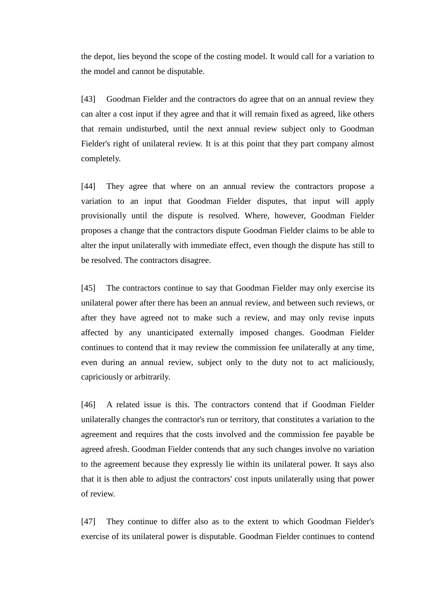the depot, lies beyond the scope of the costing model. It would call for a variation to the model and cannot be disputable.

[43] Goodman Fielder and the contractors do agree that on an annual review they can alter a cost input if they agree and that it will remain fixed as agreed, like others that remain undisturbed, until the next annual review subject only to Goodman Fielder's right of unilateral review. It is at this point that they part company almost completely.

[44] They agree that where on an annual review the contractors propose a variation to an input that Goodman Fielder disputes, that input will apply provisionally until the dispute is resolved. Where, however, Goodman Fielder proposes a change that the contractors dispute Goodman Fielder claims to be able to alter the input unilaterally with immediate effect, even though the dispute has still to be resolved. The contractors disagree.

[45] The contractors continue to say that Goodman Fielder may only exercise its unilateral power after there has been an annual review, and between such reviews, or after they have agreed not to make such a review, and may only revise inputs affected by any unanticipated externally imposed changes. Goodman Fielder continues to contend that it may review the commission fee unilaterally at any time, even during an annual review, subject only to the duty not to act maliciously, capriciously or arbitrarily.

[46] A related issue is this. The contractors contend that if Goodman Fielder unilaterally changes the contractor's run or territory, that constitutes a variation to the agreement and requires that the costs involved and the commission fee payable be agreed afresh. Goodman Fielder contends that any such changes involve no variation to the agreement because they expressly lie within its unilateral power. It says also that it is then able to adjust the contractors' cost inputs unilaterally using that power of review.

[47] They continue to differ also as to the extent to which Goodman Fielder's exercise of its unilateral power is disputable. Goodman Fielder continues to contend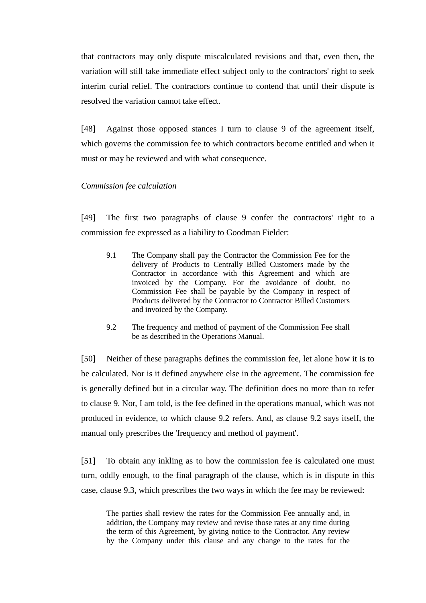that contractors may only dispute miscalculated revisions and that, even then, the variation will still take immediate effect subject only to the contractors' right to seek interim curial relief. The contractors continue to contend that until their dispute is resolved the variation cannot take effect.

[48] Against those opposed stances I turn to clause 9 of the agreement itself, which governs the commission fee to which contractors become entitled and when it must or may be reviewed and with what consequence.

# *Commission fee calculation*

[49] The first two paragraphs of clause 9 confer the contractors' right to a commission fee expressed as a liability to Goodman Fielder:

- 9.1 The Company shall pay the Contractor the Commission Fee for the delivery of Products to Centrally Billed Customers made by the Contractor in accordance with this Agreement and which are invoiced by the Company. For the avoidance of doubt, no Commission Fee shall be payable by the Company in respect of Products delivered by the Contractor to Contractor Billed Customers and invoiced by the Company.
- 9.2 The frequency and method of payment of the Commission Fee shall be as described in the Operations Manual.

[50] Neither of these paragraphs defines the commission fee, let alone how it is to be calculated. Nor is it defined anywhere else in the agreement. The commission fee is generally defined but in a circular way. The definition does no more than to refer to clause 9. Nor, I am told, is the fee defined in the operations manual, which was not produced in evidence, to which clause 9.2 refers. And, as clause 9.2 says itself, the manual only prescribes the 'frequency and method of payment'.

[51] To obtain any inkling as to how the commission fee is calculated one must turn, oddly enough, to the final paragraph of the clause, which is in dispute in this case, clause 9.3, which prescribes the two ways in which the fee may be reviewed:

The parties shall review the rates for the Commission Fee annually and, in addition, the Company may review and revise those rates at any time during the term of this Agreement, by giving notice to the Contractor. Any review by the Company under this clause and any change to the rates for the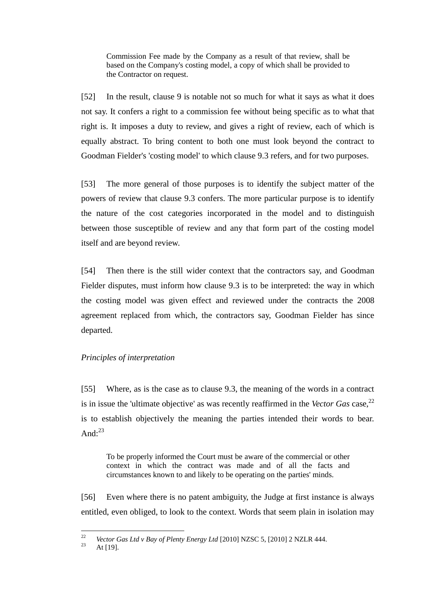Commission Fee made by the Company as a result of that review, shall be based on the Company's costing model, a copy of which shall be provided to the Contractor on request.

[52] In the result, clause 9 is notable not so much for what it says as what it does not say. It confers a right to a commission fee without being specific as to what that right is. It imposes a duty to review, and gives a right of review, each of which is equally abstract. To bring content to both one must look beyond the contract to Goodman Fielder's 'costing model' to which clause 9.3 refers, and for two purposes.

[53] The more general of those purposes is to identify the subject matter of the powers of review that clause 9.3 confers. The more particular purpose is to identify the nature of the cost categories incorporated in the model and to distinguish between those susceptible of review and any that form part of the costing model itself and are beyond review.

[54] Then there is the still wider context that the contractors say, and Goodman Fielder disputes, must inform how clause 9.3 is to be interpreted: the way in which the costing model was given effect and reviewed under the contracts the 2008 agreement replaced from which, the contractors say, Goodman Fielder has since departed.

# *Principles of interpretation*

[55] Where, as is the case as to clause 9.3, the meaning of the words in a contract is in issue the 'ultimate objective' as was recently reaffirmed in the *Vector Gas* case,<sup>22</sup> is to establish objectively the meaning the parties intended their words to bear. And: $^{23}$ 

To be properly informed the Court must be aware of the commercial or other context in which the contract was made and of all the facts and circumstances known to and likely to be operating on the parties' minds.

[56] Even where there is no patent ambiguity, the Judge at first instance is always entitled, even obliged, to look to the context. Words that seem plain in isolation may

<sup>22</sup> <sup>22</sup> *Vector Gas Ltd v Bay of Plenty Energy Ltd* [2010] NZSC 5, [2010] 2 NZLR 444.

At  $[19]$ .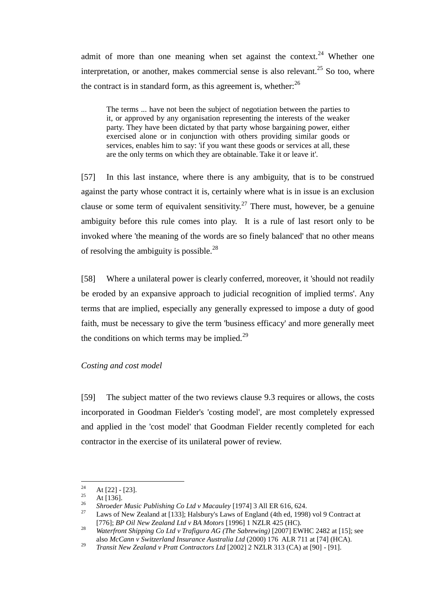admit of more than one meaning when set against the context.<sup>24</sup> Whether one interpretation, or another, makes commercial sense is also relevant.<sup>25</sup> So too, where the contract is in standard form, as this agreement is, whether: $^{26}$ 

The terms ... have not been the subject of negotiation between the parties to it, or approved by any organisation representing the interests of the weaker party. They have been dictated by that party whose bargaining power, either exercised alone or in conjunction with others providing similar goods or services, enables him to say: 'if you want these goods or services at all, these are the only terms on which they are obtainable. Take it or leave it'.

[57] In this last instance, where there is any ambiguity, that is to be construed against the party whose contract it is, certainly where what is in issue is an exclusion clause or some term of equivalent sensitivity.<sup>27</sup> There must, however, be a genuine ambiguity before this rule comes into play. It is a rule of last resort only to be invoked where 'the meaning of the words are so finely balanced' that no other means of resolving the ambiguity is possible.<sup>28</sup>

[58] Where a unilateral power is clearly conferred, moreover, it 'should not readily be eroded by an expansive approach to judicial recognition of implied terms'. Any terms that are implied, especially any generally expressed to impose a duty of good faith, must be necessary to give the term 'business efficacy' and more generally meet the conditions on which terms may be implied. $29$ 

### *Costing and cost model*

[59] The subject matter of the two reviews clause 9.3 requires or allows, the costs incorporated in Goodman Fielder's 'costing model', are most completely expressed and applied in the 'cost model' that Goodman Fielder recently completed for each contractor in the exercise of its unilateral power of review.

<sup>24</sup>  $\frac{24}{25}$  At [22] - [23].

 $\frac{25}{26}$  At [136].

<sup>26</sup> *Shroeder Music Publishing Co Ltd v Macauley* [1974] 3 All ER 616, 624.

Laws of New Zealand at [133]; Halsbury's Laws of England (4th ed, 1998) vol 9 Contract at [776]; *BP Oil New Zealand Ltd v BA Motors* [1996] 1 NZLR 425 (HC).

<sup>28</sup> *Waterfront Shipping Co Ltd v Trafigura AG (The Sabrewing)* [2007] EWHC 2482 at [15]; see also *McCann v Switzerland Insurance Australia Ltd* (2000) 176 ALR 711 at [74] (HCA).

<sup>29</sup> *Transit New Zealand v Pratt Contractors Ltd* [2002] 2 NZLR 313 (CA) at [90] - [91].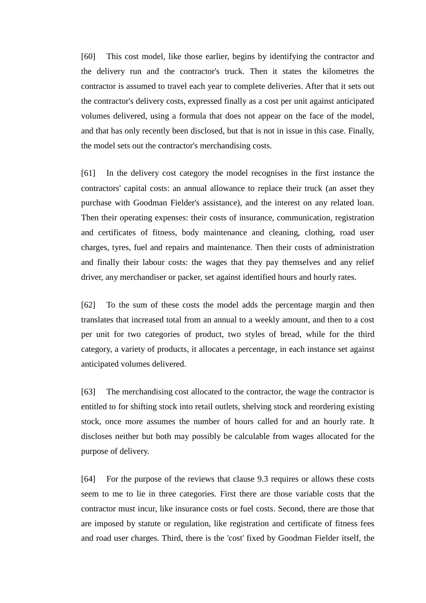[60] This cost model, like those earlier, begins by identifying the contractor and the delivery run and the contractor's truck. Then it states the kilometres the contractor is assumed to travel each year to complete deliveries. After that it sets out the contractor's delivery costs, expressed finally as a cost per unit against anticipated volumes delivered, using a formula that does not appear on the face of the model, and that has only recently been disclosed, but that is not in issue in this case. Finally, the model sets out the contractor's merchandising costs.

[61] In the delivery cost category the model recognises in the first instance the contractors' capital costs: an annual allowance to replace their truck (an asset they purchase with Goodman Fielder's assistance), and the interest on any related loan. Then their operating expenses: their costs of insurance, communication, registration and certificates of fitness, body maintenance and cleaning, clothing, road user charges, tyres, fuel and repairs and maintenance. Then their costs of administration and finally their labour costs: the wages that they pay themselves and any relief driver, any merchandiser or packer, set against identified hours and hourly rates.

[62] To the sum of these costs the model adds the percentage margin and then translates that increased total from an annual to a weekly amount, and then to a cost per unit for two categories of product, two styles of bread, while for the third category, a variety of products, it allocates a percentage, in each instance set against anticipated volumes delivered.

[63] The merchandising cost allocated to the contractor, the wage the contractor is entitled to for shifting stock into retail outlets, shelving stock and reordering existing stock, once more assumes the number of hours called for and an hourly rate. It discloses neither but both may possibly be calculable from wages allocated for the purpose of delivery.

[64] For the purpose of the reviews that clause 9.3 requires or allows these costs seem to me to lie in three categories. First there are those variable costs that the contractor must incur, like insurance costs or fuel costs. Second, there are those that are imposed by statute or regulation, like registration and certificate of fitness fees and road user charges. Third, there is the 'cost' fixed by Goodman Fielder itself, the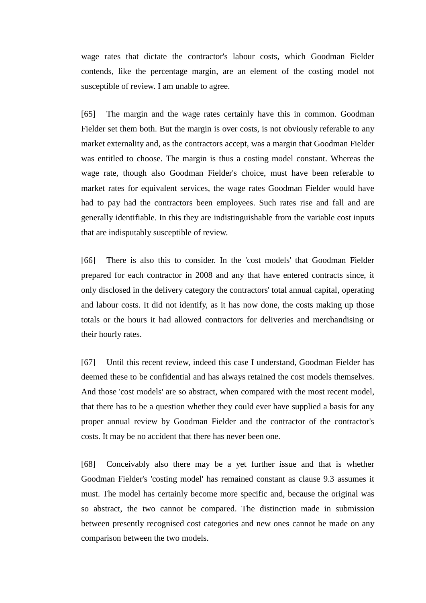wage rates that dictate the contractor's labour costs, which Goodman Fielder contends, like the percentage margin, are an element of the costing model not susceptible of review. I am unable to agree.

[65] The margin and the wage rates certainly have this in common. Goodman Fielder set them both. But the margin is over costs, is not obviously referable to any market externality and, as the contractors accept, was a margin that Goodman Fielder was entitled to choose. The margin is thus a costing model constant. Whereas the wage rate, though also Goodman Fielder's choice, must have been referable to market rates for equivalent services, the wage rates Goodman Fielder would have had to pay had the contractors been employees. Such rates rise and fall and are generally identifiable. In this they are indistinguishable from the variable cost inputs that are indisputably susceptible of review.

[66] There is also this to consider. In the 'cost models' that Goodman Fielder prepared for each contractor in 2008 and any that have entered contracts since, it only disclosed in the delivery category the contractors' total annual capital, operating and labour costs. It did not identify, as it has now done, the costs making up those totals or the hours it had allowed contractors for deliveries and merchandising or their hourly rates.

[67] Until this recent review, indeed this case I understand, Goodman Fielder has deemed these to be confidential and has always retained the cost models themselves. And those 'cost models' are so abstract, when compared with the most recent model, that there has to be a question whether they could ever have supplied a basis for any proper annual review by Goodman Fielder and the contractor of the contractor's costs. It may be no accident that there has never been one.

[68] Conceivably also there may be a yet further issue and that is whether Goodman Fielder's 'costing model' has remained constant as clause 9.3 assumes it must. The model has certainly become more specific and, because the original was so abstract, the two cannot be compared. The distinction made in submission between presently recognised cost categories and new ones cannot be made on any comparison between the two models.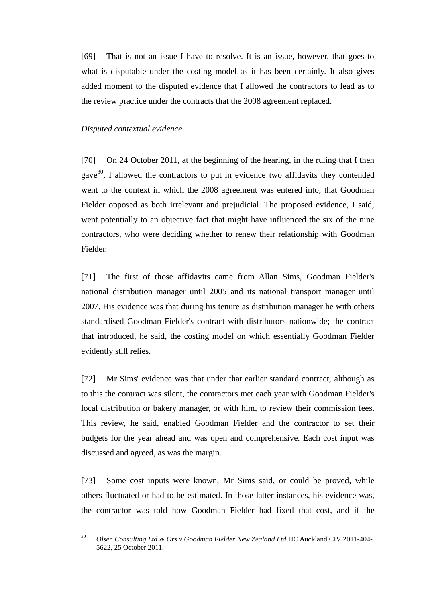[69] That is not an issue I have to resolve. It is an issue, however, that goes to what is disputable under the costing model as it has been certainly. It also gives added moment to the disputed evidence that I allowed the contractors to lead as to the review practice under the contracts that the 2008 agreement replaced.

#### *Disputed contextual evidence*

[70] On 24 October 2011, at the beginning of the hearing, in the ruling that I then gave<sup>30</sup>, I allowed the contractors to put in evidence two affidavits they contended went to the context in which the 2008 agreement was entered into, that Goodman Fielder opposed as both irrelevant and prejudicial. The proposed evidence, I said, went potentially to an objective fact that might have influenced the six of the nine contractors, who were deciding whether to renew their relationship with Goodman Fielder.

[71] The first of those affidavits came from Allan Sims, Goodman Fielder's national distribution manager until 2005 and its national transport manager until 2007. His evidence was that during his tenure as distribution manager he with others standardised Goodman Fielder's contract with distributors nationwide; the contract that introduced, he said, the costing model on which essentially Goodman Fielder evidently still relies.

[72] Mr Sims' evidence was that under that earlier standard contract, although as to this the contract was silent, the contractors met each year with Goodman Fielder's local distribution or bakery manager, or with him, to review their commission fees. This review, he said, enabled Goodman Fielder and the contractor to set their budgets for the year ahead and was open and comprehensive. Each cost input was discussed and agreed, as was the margin.

[73] Some cost inputs were known, Mr Sims said, or could be proved, while others fluctuated or had to be estimated. In those latter instances, his evidence was, the contractor was told how Goodman Fielder had fixed that cost, and if the

 $30^{\circ}$ <sup>30</sup> *Olsen Consulting Ltd & Ors v Goodman Fielder New Zealand Ltd* HC Auckland CIV 2011-404- 5622, 25 October 2011.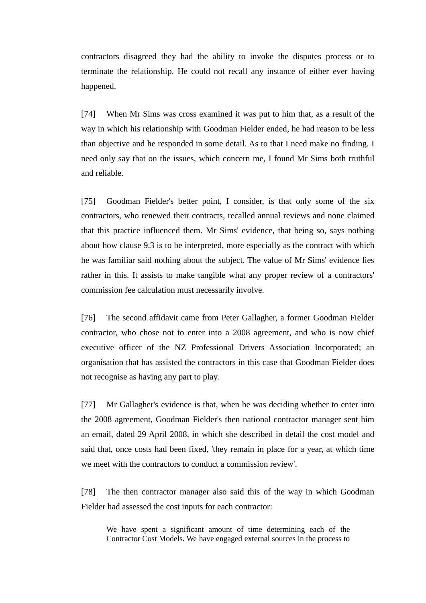contractors disagreed they had the ability to invoke the disputes process or to terminate the relationship. He could not recall any instance of either ever having happened.

[74] When Mr Sims was cross examined it was put to him that, as a result of the way in which his relationship with Goodman Fielder ended, he had reason to be less than objective and he responded in some detail. As to that I need make no finding. I need only say that on the issues, which concern me, I found Mr Sims both truthful and reliable.

[75] Goodman Fielder's better point, I consider, is that only some of the six contractors, who renewed their contracts, recalled annual reviews and none claimed that this practice influenced them. Mr Sims' evidence, that being so, says nothing about how clause 9.3 is to be interpreted, more especially as the contract with which he was familiar said nothing about the subject. The value of Mr Sims' evidence lies rather in this. It assists to make tangible what any proper review of a contractors' commission fee calculation must necessarily involve.

[76] The second affidavit came from Peter Gallagher, a former Goodman Fielder contractor, who chose not to enter into a 2008 agreement, and who is now chief executive officer of the NZ Professional Drivers Association Incorporated; an organisation that has assisted the contractors in this case that Goodman Fielder does not recognise as having any part to play.

[77] Mr Gallagher's evidence is that, when he was deciding whether to enter into the 2008 agreement, Goodman Fielder's then national contractor manager sent him an email, dated 29 April 2008, in which she described in detail the cost model and said that, once costs had been fixed, 'they remain in place for a year, at which time we meet with the contractors to conduct a commission review'.

[78] The then contractor manager also said this of the way in which Goodman Fielder had assessed the cost inputs for each contractor:

We have spent a significant amount of time determining each of the Contractor Cost Models. We have engaged external sources in the process to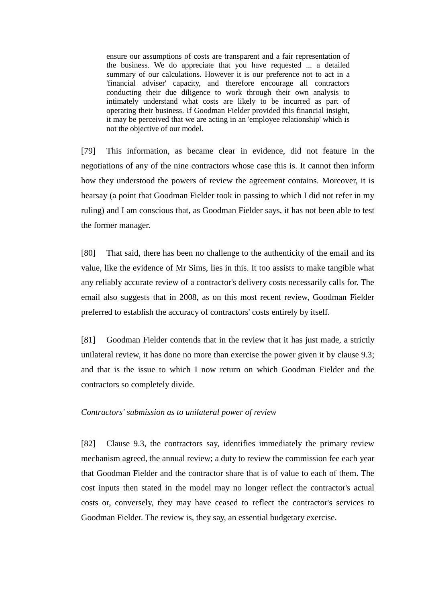ensure our assumptions of costs are transparent and a fair representation of the business. We do appreciate that you have requested ... a detailed summary of our calculations. However it is our preference not to act in a 'financial adviser' capacity, and therefore encourage all contractors conducting their due diligence to work through their own analysis to intimately understand what costs are likely to be incurred as part of operating their business. If Goodman Fielder provided this financial insight, it may be perceived that we are acting in an 'employee relationship' which is not the objective of our model.

[79] This information, as became clear in evidence, did not feature in the negotiations of any of the nine contractors whose case this is. It cannot then inform how they understood the powers of review the agreement contains. Moreover, it is hearsay (a point that Goodman Fielder took in passing to which I did not refer in my ruling) and I am conscious that, as Goodman Fielder says, it has not been able to test the former manager.

[80] That said, there has been no challenge to the authenticity of the email and its value, like the evidence of Mr Sims, lies in this. It too assists to make tangible what any reliably accurate review of a contractor's delivery costs necessarily calls for. The email also suggests that in 2008, as on this most recent review, Goodman Fielder preferred to establish the accuracy of contractors' costs entirely by itself.

[81] Goodman Fielder contends that in the review that it has just made, a strictly unilateral review, it has done no more than exercise the power given it by clause 9.3; and that is the issue to which I now return on which Goodman Fielder and the contractors so completely divide.

#### *Contractors' submission as to unilateral power of review*

[82] Clause 9.3, the contractors say, identifies immediately the primary review mechanism agreed, the annual review; a duty to review the commission fee each year that Goodman Fielder and the contractor share that is of value to each of them. The cost inputs then stated in the model may no longer reflect the contractor's actual costs or, conversely, they may have ceased to reflect the contractor's services to Goodman Fielder. The review is, they say, an essential budgetary exercise.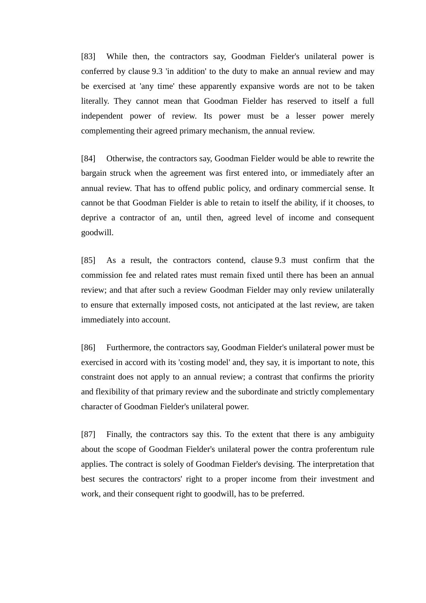[83] While then, the contractors say, Goodman Fielder's unilateral power is conferred by clause 9.3 'in addition' to the duty to make an annual review and may be exercised at 'any time' these apparently expansive words are not to be taken literally. They cannot mean that Goodman Fielder has reserved to itself a full independent power of review. Its power must be a lesser power merely complementing their agreed primary mechanism, the annual review.

[84] Otherwise, the contractors say, Goodman Fielder would be able to rewrite the bargain struck when the agreement was first entered into, or immediately after an annual review. That has to offend public policy, and ordinary commercial sense. It cannot be that Goodman Fielder is able to retain to itself the ability, if it chooses, to deprive a contractor of an, until then, agreed level of income and consequent goodwill.

[85] As a result, the contractors contend, clause 9.3 must confirm that the commission fee and related rates must remain fixed until there has been an annual review; and that after such a review Goodman Fielder may only review unilaterally to ensure that externally imposed costs, not anticipated at the last review, are taken immediately into account.

[86] Furthermore, the contractors say, Goodman Fielder's unilateral power must be exercised in accord with its 'costing model' and, they say, it is important to note, this constraint does not apply to an annual review; a contrast that confirms the priority and flexibility of that primary review and the subordinate and strictly complementary character of Goodman Fielder's unilateral power.

[87] Finally, the contractors say this. To the extent that there is any ambiguity about the scope of Goodman Fielder's unilateral power the contra proferentum rule applies. The contract is solely of Goodman Fielder's devising. The interpretation that best secures the contractors' right to a proper income from their investment and work, and their consequent right to goodwill, has to be preferred.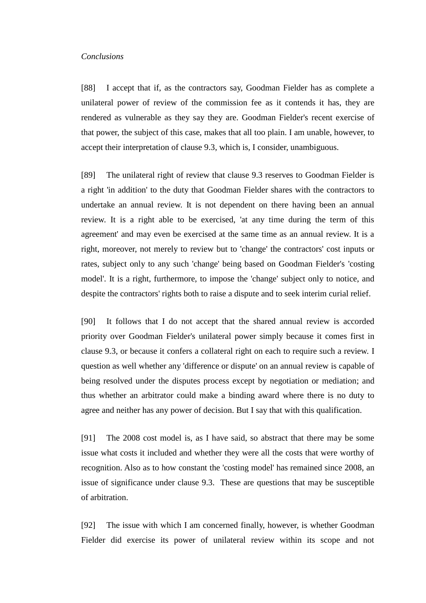#### *Conclusions*

[88] I accept that if, as the contractors say, Goodman Fielder has as complete a unilateral power of review of the commission fee as it contends it has, they are rendered as vulnerable as they say they are. Goodman Fielder's recent exercise of that power, the subject of this case, makes that all too plain. I am unable, however, to accept their interpretation of clause 9.3, which is, I consider, unambiguous.

[89] The unilateral right of review that clause 9.3 reserves to Goodman Fielder is a right 'in addition' to the duty that Goodman Fielder shares with the contractors to undertake an annual review. It is not dependent on there having been an annual review. It is a right able to be exercised, 'at any time during the term of this agreement' and may even be exercised at the same time as an annual review. It is a right, moreover, not merely to review but to 'change' the contractors' cost inputs or rates, subject only to any such 'change' being based on Goodman Fielder's 'costing model'. It is a right, furthermore, to impose the 'change' subject only to notice, and despite the contractors' rights both to raise a dispute and to seek interim curial relief.

[90] It follows that I do not accept that the shared annual review is accorded priority over Goodman Fielder's unilateral power simply because it comes first in clause 9.3, or because it confers a collateral right on each to require such a review. I question as well whether any 'difference or dispute' on an annual review is capable of being resolved under the disputes process except by negotiation or mediation; and thus whether an arbitrator could make a binding award where there is no duty to agree and neither has any power of decision. But I say that with this qualification.

[91] The 2008 cost model is, as I have said, so abstract that there may be some issue what costs it included and whether they were all the costs that were worthy of recognition. Also as to how constant the 'costing model' has remained since 2008, an issue of significance under clause 9.3. These are questions that may be susceptible of arbitration.

[92] The issue with which I am concerned finally, however, is whether Goodman Fielder did exercise its power of unilateral review within its scope and not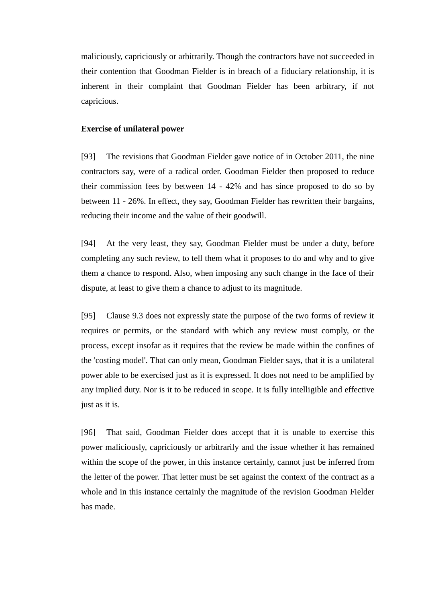maliciously, capriciously or arbitrarily. Though the contractors have not succeeded in their contention that Goodman Fielder is in breach of a fiduciary relationship, it is inherent in their complaint that Goodman Fielder has been arbitrary, if not capricious.

### **Exercise of unilateral power**

[93] The revisions that Goodman Fielder gave notice of in October 2011, the nine contractors say, were of a radical order. Goodman Fielder then proposed to reduce their commission fees by between 14 - 42% and has since proposed to do so by between 11 - 26%. In effect, they say, Goodman Fielder has rewritten their bargains, reducing their income and the value of their goodwill.

[94] At the very least, they say, Goodman Fielder must be under a duty, before completing any such review, to tell them what it proposes to do and why and to give them a chance to respond. Also, when imposing any such change in the face of their dispute, at least to give them a chance to adjust to its magnitude.

[95] Clause 9.3 does not expressly state the purpose of the two forms of review it requires or permits, or the standard with which any review must comply, or the process, except insofar as it requires that the review be made within the confines of the 'costing model'. That can only mean, Goodman Fielder says, that it is a unilateral power able to be exercised just as it is expressed. It does not need to be amplified by any implied duty. Nor is it to be reduced in scope. It is fully intelligible and effective just as it is.

[96] That said, Goodman Fielder does accept that it is unable to exercise this power maliciously, capriciously or arbitrarily and the issue whether it has remained within the scope of the power, in this instance certainly, cannot just be inferred from the letter of the power. That letter must be set against the context of the contract as a whole and in this instance certainly the magnitude of the revision Goodman Fielder has made.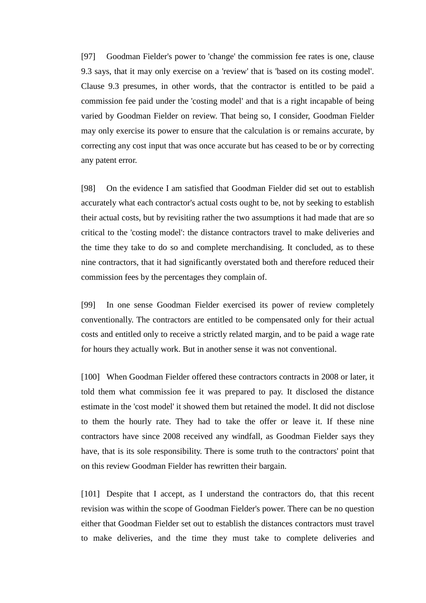[97] Goodman Fielder's power to 'change' the commission fee rates is one, clause 9.3 says, that it may only exercise on a 'review' that is 'based on its costing model'. Clause 9.3 presumes, in other words, that the contractor is entitled to be paid a commission fee paid under the 'costing model' and that is a right incapable of being varied by Goodman Fielder on review. That being so, I consider, Goodman Fielder may only exercise its power to ensure that the calculation is or remains accurate, by correcting any cost input that was once accurate but has ceased to be or by correcting any patent error.

[98] On the evidence I am satisfied that Goodman Fielder did set out to establish accurately what each contractor's actual costs ought to be, not by seeking to establish their actual costs, but by revisiting rather the two assumptions it had made that are so critical to the 'costing model': the distance contractors travel to make deliveries and the time they take to do so and complete merchandising. It concluded, as to these nine contractors, that it had significantly overstated both and therefore reduced their commission fees by the percentages they complain of.

[99] In one sense Goodman Fielder exercised its power of review completely conventionally. The contractors are entitled to be compensated only for their actual costs and entitled only to receive a strictly related margin, and to be paid a wage rate for hours they actually work. But in another sense it was not conventional.

[100] When Goodman Fielder offered these contractors contracts in 2008 or later, it told them what commission fee it was prepared to pay. It disclosed the distance estimate in the 'cost model' it showed them but retained the model. It did not disclose to them the hourly rate. They had to take the offer or leave it. If these nine contractors have since 2008 received any windfall, as Goodman Fielder says they have, that is its sole responsibility. There is some truth to the contractors' point that on this review Goodman Fielder has rewritten their bargain.

[101] Despite that I accept, as I understand the contractors do, that this recent revision was within the scope of Goodman Fielder's power. There can be no question either that Goodman Fielder set out to establish the distances contractors must travel to make deliveries, and the time they must take to complete deliveries and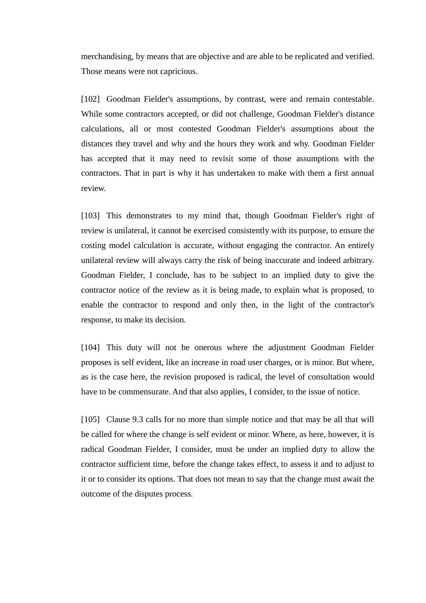merchandising, by means that are objective and are able to be replicated and verified. Those means were not capricious.

[102] Goodman Fielder's assumptions, by contrast, were and remain contestable. While some contractors accepted, or did not challenge, Goodman Fielder's distance calculations, all or most contested Goodman Fielder's assumptions about the distances they travel and why and the hours they work and why. Goodman Fielder has accepted that it may need to revisit some of those assumptions with the contractors. That in part is why it has undertaken to make with them a first annual review.

[103] This demonstrates to my mind that, though Goodman Fielder's right of review is unilateral, it cannot be exercised consistently with its purpose, to ensure the costing model calculation is accurate, without engaging the contractor. An entirely unilateral review will always carry the risk of being inaccurate and indeed arbitrary. Goodman Fielder, I conclude, has to be subject to an implied duty to give the contractor notice of the review as it is being made, to explain what is proposed, to enable the contractor to respond and only then, in the light of the contractor's response, to make its decision.

[104] This duty will not be onerous where the adjustment Goodman Fielder proposes is self evident, like an increase in road user charges, or is minor. But where, as is the case here, the revision proposed is radical, the level of consultation would have to be commensurate. And that also applies, I consider, to the issue of notice.

[105] Clause 9.3 calls for no more than simple notice and that may be all that will be called for where the change is self evident or minor. Where, as here, however, it is radical Goodman Fielder, I consider, must be under an implied duty to allow the contractor sufficient time, before the change takes effect, to assess it and to adjust to it or to consider its options. That does not mean to say that the change must await the outcome of the disputes process.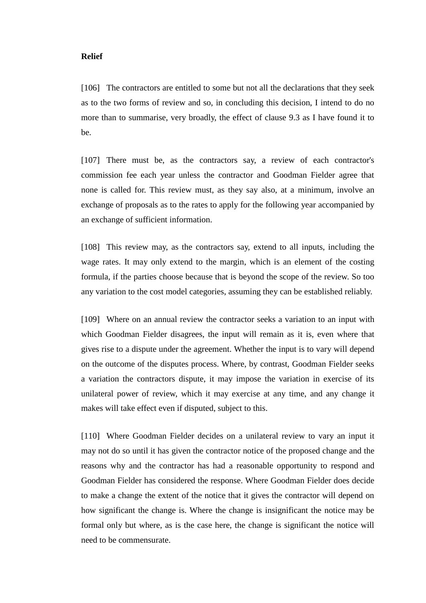### **Relief**

[106] The contractors are entitled to some but not all the declarations that they seek as to the two forms of review and so, in concluding this decision, I intend to do no more than to summarise, very broadly, the effect of clause 9.3 as I have found it to be.

[107] There must be, as the contractors say, a review of each contractor's commission fee each year unless the contractor and Goodman Fielder agree that none is called for. This review must, as they say also, at a minimum, involve an exchange of proposals as to the rates to apply for the following year accompanied by an exchange of sufficient information.

[108] This review may, as the contractors say, extend to all inputs, including the wage rates. It may only extend to the margin, which is an element of the costing formula, if the parties choose because that is beyond the scope of the review. So too any variation to the cost model categories, assuming they can be established reliably.

[109] Where on an annual review the contractor seeks a variation to an input with which Goodman Fielder disagrees, the input will remain as it is, even where that gives rise to a dispute under the agreement. Whether the input is to vary will depend on the outcome of the disputes process. Where, by contrast, Goodman Fielder seeks a variation the contractors dispute, it may impose the variation in exercise of its unilateral power of review, which it may exercise at any time, and any change it makes will take effect even if disputed, subject to this.

[110] Where Goodman Fielder decides on a unilateral review to vary an input it may not do so until it has given the contractor notice of the proposed change and the reasons why and the contractor has had a reasonable opportunity to respond and Goodman Fielder has considered the response. Where Goodman Fielder does decide to make a change the extent of the notice that it gives the contractor will depend on how significant the change is. Where the change is insignificant the notice may be formal only but where, as is the case here, the change is significant the notice will need to be commensurate.